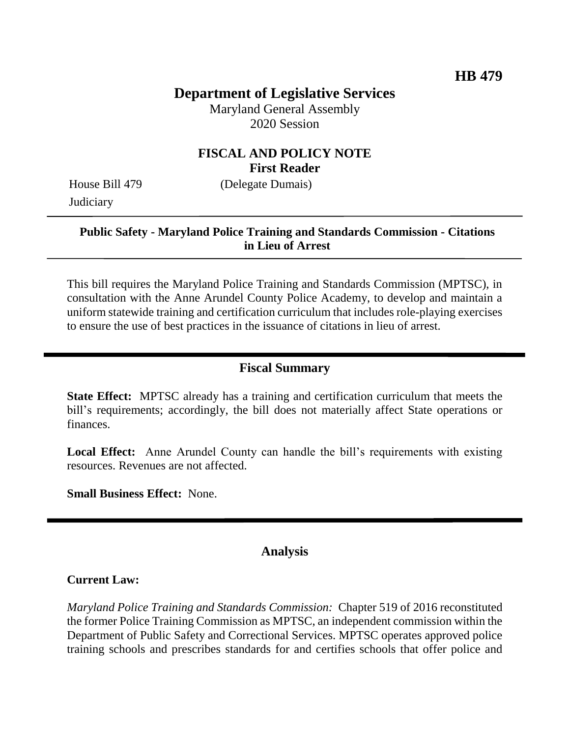# **Department of Legislative Services**

Maryland General Assembly 2020 Session

### **FISCAL AND POLICY NOTE First Reader**

House Bill 479 (Delegate Dumais) **Judiciary** 

#### **Public Safety - Maryland Police Training and Standards Commission - Citations in Lieu of Arrest**

This bill requires the Maryland Police Training and Standards Commission (MPTSC), in consultation with the Anne Arundel County Police Academy, to develop and maintain a uniform statewide training and certification curriculum that includes role-playing exercises to ensure the use of best practices in the issuance of citations in lieu of arrest.

#### **Fiscal Summary**

**State Effect:** MPTSC already has a training and certification curriculum that meets the bill's requirements; accordingly, the bill does not materially affect State operations or finances.

**Local Effect:** Anne Arundel County can handle the bill's requirements with existing resources. Revenues are not affected.

**Small Business Effect:** None.

# **Analysis**

#### **Current Law:**

*Maryland Police Training and Standards Commission:* Chapter 519 of 2016 reconstituted the former Police Training Commission as MPTSC, an independent commission within the Department of Public Safety and Correctional Services. MPTSC operates approved police training schools and prescribes standards for and certifies schools that offer police and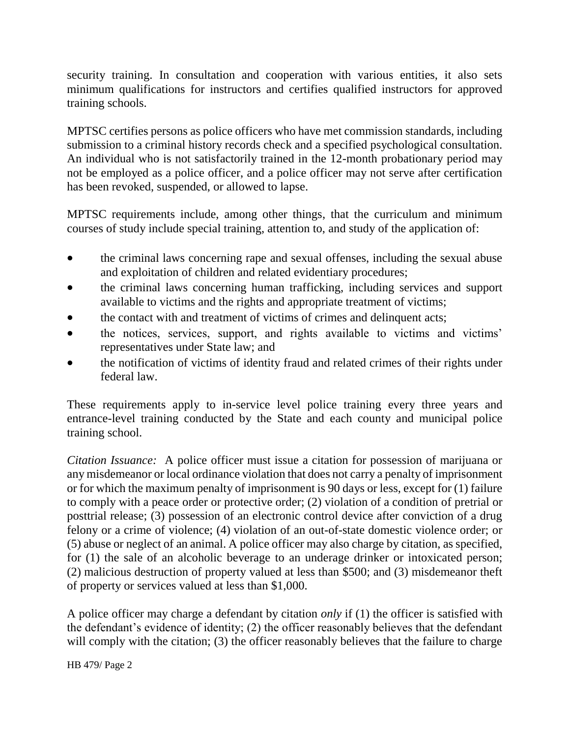security training. In consultation and cooperation with various entities, it also sets minimum qualifications for instructors and certifies qualified instructors for approved training schools.

MPTSC certifies persons as police officers who have met commission standards, including submission to a criminal history records check and a specified psychological consultation. An individual who is not satisfactorily trained in the 12-month probationary period may not be employed as a police officer, and a police officer may not serve after certification has been revoked, suspended, or allowed to lapse.

MPTSC requirements include, among other things, that the curriculum and minimum courses of study include special training, attention to, and study of the application of:

- the criminal laws concerning rape and sexual offenses, including the sexual abuse and exploitation of children and related evidentiary procedures;
- the criminal laws concerning human trafficking, including services and support available to victims and the rights and appropriate treatment of victims;
- the contact with and treatment of victims of crimes and delinquent acts;
- the notices, services, support, and rights available to victims and victims' representatives under State law; and
- the notification of victims of identity fraud and related crimes of their rights under federal law.

These requirements apply to in-service level police training every three years and entrance-level training conducted by the State and each county and municipal police training school.

*Citation Issuance:* A police officer must issue a citation for possession of marijuana or any misdemeanor or local ordinance violation that does not carry a penalty of imprisonment or for which the maximum penalty of imprisonment is 90 days or less, except for (1) failure to comply with a peace order or protective order; (2) violation of a condition of pretrial or posttrial release; (3) possession of an electronic control device after conviction of a drug felony or a crime of violence; (4) violation of an out-of-state domestic violence order; or (5) abuse or neglect of an animal. A police officer may also charge by citation, as specified, for (1) the sale of an alcoholic beverage to an underage drinker or intoxicated person; (2) malicious destruction of property valued at less than \$500; and (3) misdemeanor theft of property or services valued at less than \$1,000.

A police officer may charge a defendant by citation *only* if (1) the officer is satisfied with the defendant's evidence of identity; (2) the officer reasonably believes that the defendant will comply with the citation; (3) the officer reasonably believes that the failure to charge